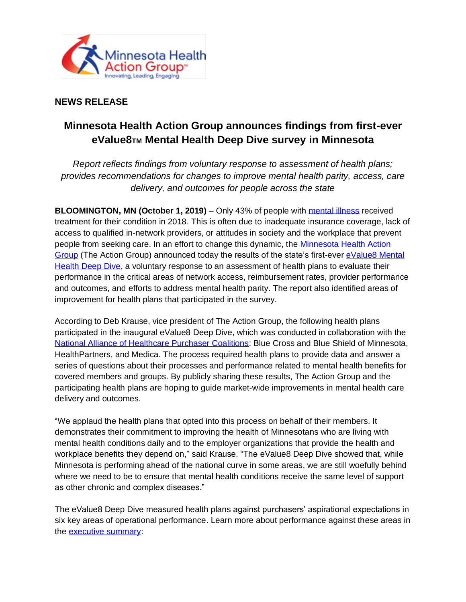

## **NEWS RELEASE**

## **Minnesota Health Action Group announces findings from first-ever eValue8TM Mental Health Deep Dive survey in Minnesota**

*Report reflects findings from voluntary response to assessment of health plans; provides recommendations for changes to improve mental health parity, access, care delivery, and outcomes for people across the state*

**BLOOMINGTON, MN (October 1, 2019)** – Only 43% of people with [mental illness](https://www.nami.org/learn-more/mental-health-by-the-numbers) received treatment for their condition in 2018. This is often due to inadequate insurance coverage, lack of access to qualified in-network providers, or attitudes in society and the workplace that prevent people from seeking care. In an effort to change this dynamic, the [Minnesota Health Action](http://www.mnhealthactiongroup.org/)  [Group](http://www.mnhealthactiongroup.org/) (The Action Group) announced today the results of the state's first-eve[r eValue8 Mental](https://mnhealthactiongroup.org/wp-content/uploads/2019/09/evalue8deepdive.pptx-final.pdf?fbclid=IwAR233FE3D5avRQ80Xnk8qyUw0EdaV9c0Lrq-H3BolcAhmXhRVvf8R7Zx5lc)  [Health Deep Dive,](https://mnhealthactiongroup.org/wp-content/uploads/2019/09/evalue8deepdive.pptx-final.pdf?fbclid=IwAR233FE3D5avRQ80Xnk8qyUw0EdaV9c0Lrq-H3BolcAhmXhRVvf8R7Zx5lc) a voluntary response to an assessment of health plans to evaluate their performance in the critical areas of network access, reimbursement rates, provider performance and outcomes, and efforts to address mental health parity. The report also identified areas of improvement for health plans that participated in the survey.

According to Deb Krause, vice president of The Action Group, the following health plans participated in the inaugural eValue8 Deep Dive, which was conducted in collaboration with the [National Alliance of Healthcare Purchaser Coalitions:](https://www.pcpcc.org/executive/national-alliance-healthcare-purchaser-coalitions) Blue Cross and Blue Shield of Minnesota, HealthPartners, and Medica. The process required health plans to provide data and answer a series of questions about their processes and performance related to mental health benefits for covered members and groups. By publicly sharing these results, The Action Group and the participating health plans are hoping to guide market-wide improvements in mental health care delivery and outcomes.

"We applaud the health plans that opted into this process on behalf of their members. It demonstrates their commitment to improving the health of Minnesotans who are living with mental health conditions daily and to the employer organizations that provide the health and workplace benefits they depend on," said Krause. "The eValue8 Deep Dive showed that, while Minnesota is performing ahead of the national curve in some areas, we are still woefully behind where we need to be to ensure that mental health conditions receive the same level of support as other chronic and complex diseases."

The eValue8 Deep Dive measured health plans against purchasers' aspirational expectations in six key areas of operational performance. Learn more about performance against these areas in the [executive summary:](https://mnhealthactiongroup.org/wp-content/uploads/2019/09/evalue8deepdive.pptx-final.pdf?fbclid=IwAR233FE3D5avRQ80Xnk8qyUw0EdaV9c0Lrq-H3BolcAhmXhRVvf8R7Zx5lc)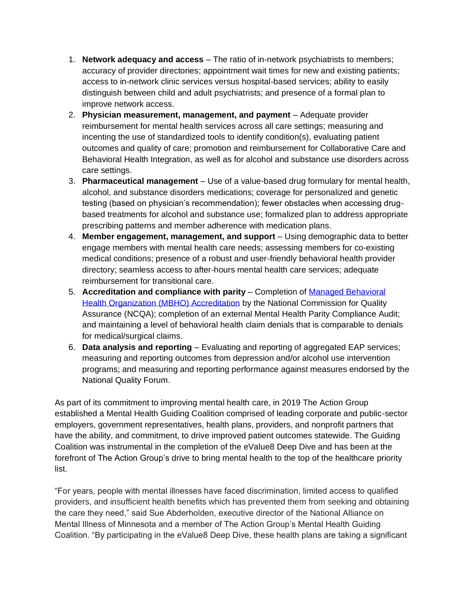- 1. **Network adequacy and access** The ratio of in-network psychiatrists to members; accuracy of provider directories; appointment wait times for new and existing patients; access to in-network clinic services versus hospital-based services; ability to easily distinguish between child and adult psychiatrists; and presence of a formal plan to improve network access.
- 2. **Physician measurement, management, and payment** Adequate provider reimbursement for mental health services across all care settings; measuring and incenting the use of standardized tools to identify condition(s), evaluating patient outcomes and quality of care; promotion and reimbursement for Collaborative Care and Behavioral Health Integration, as well as for alcohol and substance use disorders across care settings.
- 3. **Pharmaceutical management** Use of a value-based drug formulary for mental health, alcohol, and substance disorders medications; coverage for personalized and genetic testing (based on physician's recommendation); fewer obstacles when accessing drugbased treatments for alcohol and substance use; formalized plan to address appropriate prescribing patterns and member adherence with medication plans.
- 4. **Member engagement, management, and support** Using demographic data to better engage members with mental health care needs; assessing members for co-existing medical conditions; presence of a robust and user-friendly behavioral health provider directory; seamless access to after-hours mental health care services; adequate reimbursement for transitional care.
- 5. **Accreditation and compliance with parity** Completion of [Managed Behavioral](https://www.ncqa.org/programs/health-plans/managed-behavioral-healthcare-organizations-mbho/)  [Health Organization \(MBHO\) Accreditation](https://www.ncqa.org/programs/health-plans/managed-behavioral-healthcare-organizations-mbho/) by the National Commission for Quality Assurance (NCQA); completion of an external Mental Health Parity Compliance Audit; and maintaining a level of behavioral health claim denials that is comparable to denials for medical/surgical claims.
- 6. **Data analysis and reporting** Evaluating and reporting of aggregated EAP services; measuring and reporting outcomes from depression and/or alcohol use intervention programs; and measuring and reporting performance against measures endorsed by the National Quality Forum.

As part of its commitment to improving mental health care, in 2019 The Action Group established a Mental Health Guiding Coalition comprised of leading corporate and public-sector employers, government representatives, health plans, providers, and nonprofit partners that have the ability, and commitment, to drive improved patient outcomes statewide. The Guiding Coalition was instrumental in the completion of the eValue8 Deep Dive and has been at the forefront of The Action Group's drive to bring mental health to the top of the healthcare priority list.

"For years, people with mental illnesses have faced discrimination, limited access to qualified providers, and insufficient health benefits which has prevented them from seeking and obtaining the care they need," said Sue Abderholden, executive director of the National Alliance on Mental Illness of Minnesota and a member of The Action Group's Mental Health Guiding Coalition. "By participating in the eValue8 Deep Dive, these health plans are taking a significant